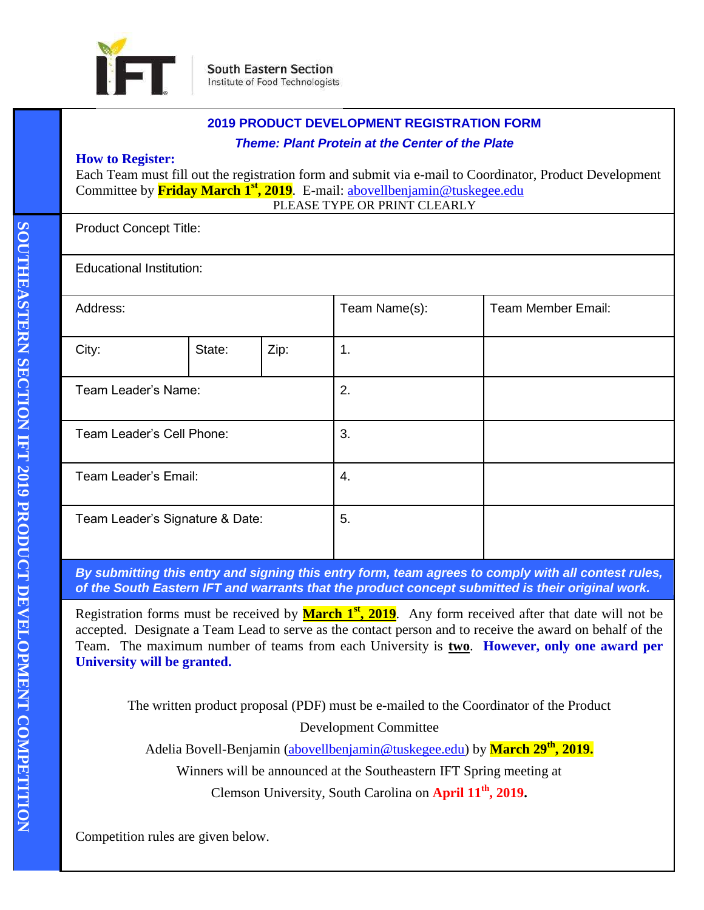

|  | <b>2019 PRODUCT DEVELOPMENT REGISTRATION FORM</b><br><b>Theme: Plant Protein at the Center of the Plate</b><br><b>How to Register:</b><br>Each Team must fill out the registration form and submit via e-mail to Coordinator, Product Development<br>Committee by <b>Friday March 1<sup>st</sup>, 2019</b> . E-mail: abovellbenjamin@tuskegee.edu<br>PLEASE TYPE OR PRINT CLEARLY |                                 |      |               |                    |  |  |
|--|-----------------------------------------------------------------------------------------------------------------------------------------------------------------------------------------------------------------------------------------------------------------------------------------------------------------------------------------------------------------------------------|---------------------------------|------|---------------|--------------------|--|--|
|  |                                                                                                                                                                                                                                                                                                                                                                                   |                                 |      |               |                    |  |  |
|  | <b>Product Concept Title:</b>                                                                                                                                                                                                                                                                                                                                                     |                                 |      |               |                    |  |  |
|  |                                                                                                                                                                                                                                                                                                                                                                                   | <b>Educational Institution:</b> |      |               |                    |  |  |
|  | Address:                                                                                                                                                                                                                                                                                                                                                                          |                                 |      | Team Name(s): | Team Member Email: |  |  |
|  | City:                                                                                                                                                                                                                                                                                                                                                                             | State:                          | Zip: | 1.            |                    |  |  |
|  | Team Leader's Name:                                                                                                                                                                                                                                                                                                                                                               |                                 |      | 2.            |                    |  |  |
|  | Team Leader's Cell Phone:                                                                                                                                                                                                                                                                                                                                                         |                                 |      | 3.            |                    |  |  |
|  | Team Leader's Email:                                                                                                                                                                                                                                                                                                                                                              |                                 |      | 4.            |                    |  |  |
|  | Team Leader's Signature & Date:                                                                                                                                                                                                                                                                                                                                                   |                                 |      | 5.            |                    |  |  |

*By submitting this entry and signing this entry form, team agrees to comply with all contest rules, of the South Eastern IFT and warrants that the product concept submitted is their original work.*

Registration forms must be received by **March 1<sup>st</sup>, 2019**. Any form received after that date will not be accepted. Designate a Team Lead to serve as the contact person and to receive the award on behalf of the Team. The maximum number of teams from each University is **two**. **However, only one award per University will be granted.**

The written product proposal (PDF) must be e-mailed to the Coordinator of the Product Development Committee

Adelia Bovell-Benjamin [\(abovellbenjamin@tuskegee.edu\)](mailto:abovellbenjamin@tuskegee.edu) by **March 29th, 2019.**

Winners will be announced at the Southeastern IFT Spring meeting at

Clemson University, South Carolina on **April 11th, 2019.**

Competition rules are given below.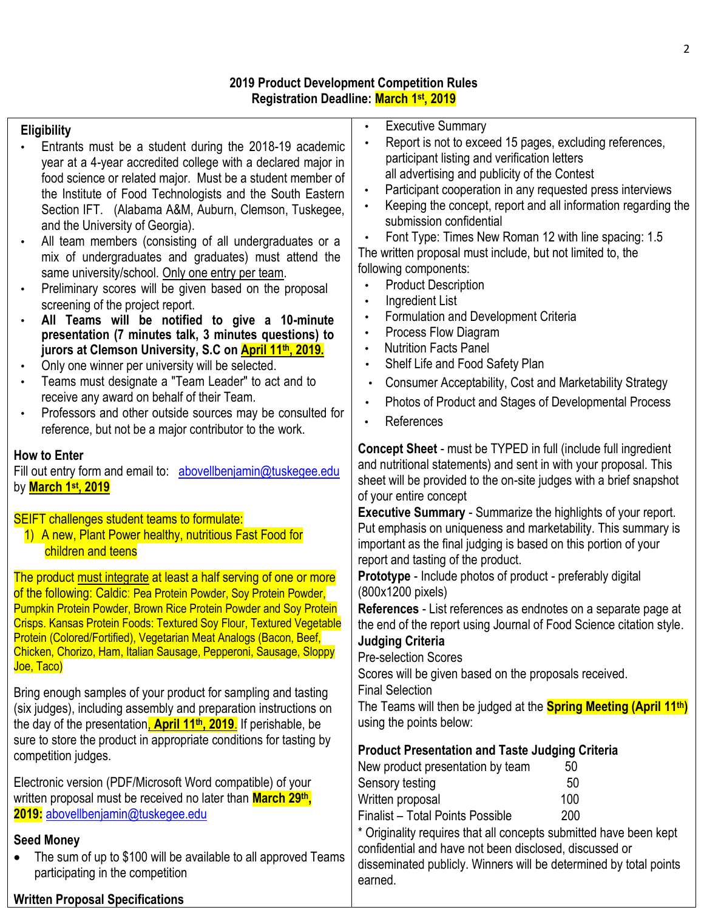# **2019 Product Development Competition Rules Registration Deadline: March 1 st, 2019**

# **Eligibility**

- Entrants must be a student during the 2018-19 academic year at a 4-year accredited college with a declared major in food science or related major. Must be a student member of the Institute of Food Technologists and the South Eastern Section IFT. (Alabama A&M, Auburn, Clemson, Tuskegee, and the University of Georgia).
- All team members (consisting of all undergraduates or a mix of undergraduates and graduates) must attend the same university/school. Only one entry per team.
- Preliminary scores will be given based on the proposal screening of the project report.
- **All Teams will be notified to give a 10-minute presentation (7 minutes talk, 3 minutes questions) to jurors at Clemson University, S.C on April 11th, 2019.**
- Only one winner per university will be selected.
- Teams must designate a "Team Leader" to act and to receive any award on behalf of their Team.
- Professors and other outside sources may be consulted for reference, but not be a major contributor to the work.

## **How to Enter**

Fill out entry form and email to: abovellbenjamin@tuskegee.edu by **March 1 st, 2019**

SEIFT challenges student teams to formulate:

1) A new, Plant Power healthy, nutritious Fast Food for children and teens

The product must integrate at least a half serving of one or more of the following: Caldic: Pea Protein Powder, Soy Protein Powder, Pumpkin Protein Powder, Brown Rice Protein Powder and Soy Protein Crisps. Kansas Protein Foods: Textured Soy Flour, Textured Vegetable Protein (Colored/Fortified), Vegetarian Meat Analogs (Bacon, Beef, Chicken, Chorizo, Ham, Italian Sausage, Pepperoni, Sausage, Sloppy Joe, Taco)

Bring enough samples of your product for sampling and tasting (six judges), including assembly and preparation instructions on the day of the presentation, **April 11th, 2019**. If perishable, be sure to store the product in appropriate conditions for tasting by competition judges.

Electronic version (PDF/Microsoft Word compatible) of your written proposal must be received no later than **March 29th, 2019:** [abovellbenjamin@tuskegee.edu](mailto:abovellbenjamin@tuskegee.edu)

## **Seed Money**

• The sum of up to \$100 will be available to all approved Teams participating in the competition

- **Executive Summary**
- Report is not to exceed 15 pages, excluding references, participant listing and verification letters all advertising and publicity of the Contest
- Participant cooperation in any requested press interviews
- Keeping the concept, report and all information regarding the submission confidential

• Font Type: Times New Roman 12 with line spacing: 1.5 The written proposal must include, but not limited to, the following components:

- Product Description
- Ingredient List
- Formulation and Development Criteria
- Process Flow Diagram
- **Nutrition Facts Panel**
- Shelf Life and Food Safety Plan
- Consumer Acceptability, Cost and Marketability Strategy
- Photos of Product and Stages of Developmental Process
- References

**Concept Sheet** - must be TYPED in full (include full ingredient and nutritional statements) and sent in with your proposal. This sheet will be provided to the on-site judges with a brief snapshot of your entire concept

**Executive Summary** - Summarize the highlights of your report. Put emphasis on uniqueness and marketability. This summary is important as the final judging is based on this portion of your report and tasting of the product.

**Prototype** - Include photos of product - preferably digital (800x1200 pixels)

**References** - List references as endnotes on a separate page at the end of the report using Journal of Food Science citation style. **Judging Criteria**

Pre-selection Scores

Scores will be given based on the proposals received.

Final Selection

The Teams will then be judged at the **Spring Meeting (April 11th)** using the points below:

## **Product Presentation and Taste Judging Criteria**

| New product presentation by team | 50  |
|----------------------------------|-----|
| Sensory testing                  | 50  |
| Written proposal                 | 100 |
| Finalist - Total Points Possible | 200 |

\* Originality requires that all concepts submitted have been kept confidential and have not been disclosed, discussed or disseminated publicly. Winners will be determined by total points earned.

## **Written Proposal Specifications**